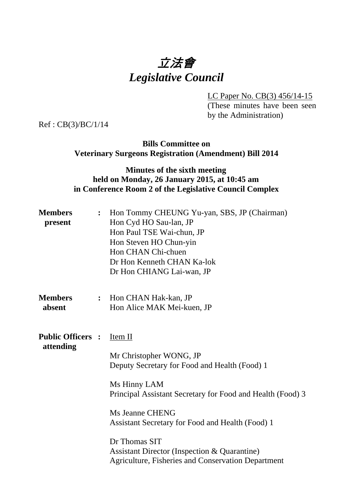# 立法會 *Legislative Council*

LC Paper No. CB(3) 456/14-15

(These minutes have been seen by the Administration)

Ref : CB(3)/BC/1/14

### **Bills Committee on Veterinary Surgeons Registration (Amendment) Bill 2014**

# **Minutes of the sixth meeting held on Monday, 26 January 2015, at 10:45 am in Conference Room 2 of the Legislative Council Complex**

| <b>Members</b><br>present             | $\ddot{\cdot}$   | Hon Tommy CHEUNG Yu-yan, SBS, JP (Chairman)<br>Hon Cyd HO Sau-lan, JP<br>Hon Paul TSE Wai-chun, JP<br>Hon Steven HO Chun-yin<br>Hon CHAN Chi-chuen<br>Dr Hon Kenneth CHAN Ka-lok<br>Dr Hon CHIANG Lai-wan, JP                                                                                                                                                                            |
|---------------------------------------|------------------|------------------------------------------------------------------------------------------------------------------------------------------------------------------------------------------------------------------------------------------------------------------------------------------------------------------------------------------------------------------------------------------|
| <b>Members</b><br>absent              | $\ddot{\bullet}$ | Hon CHAN Hak-kan, JP<br>Hon Alice MAK Mei-kuen, JP                                                                                                                                                                                                                                                                                                                                       |
| <b>Public Officers :</b><br>attending |                  | Item II<br>Mr Christopher WONG, JP<br>Deputy Secretary for Food and Health (Food) 1<br>Ms Hinny LAM<br>Principal Assistant Secretary for Food and Health (Food) 3<br><b>Ms Jeanne CHENG</b><br>Assistant Secretary for Food and Health (Food) 1<br>Dr Thomas SIT<br><b>Assistant Director (Inspection &amp; Quarantine)</b><br><b>Agriculture, Fisheries and Conservation Department</b> |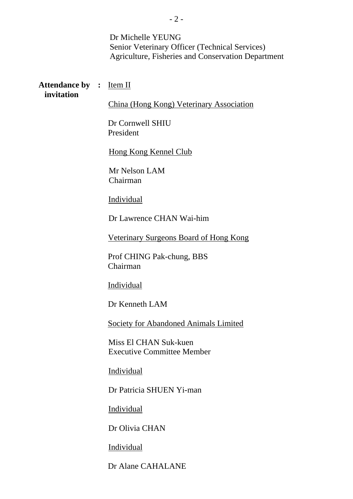Dr Michelle YEUNG Senior Veterinary Officer (Technical Services) Agriculture, Fisheries and Conservation Department

#### **Attendance by : Item II invitation**

China (Hong Kong) Veterinary Association

Dr Cornwell SHIU President

Hong Kong Kennel Club

Mr Nelson LAM Chairman

Individual

Dr Lawrence CHAN Wai-him

Veterinary Surgeons Board of Hong Kong

Prof CHING Pak-chung, BBS Chairman

Individual

Dr Kenneth LAM

Society for Abandoned Animals Limited

Miss El CHAN Suk-kuen Executive Committee Member

Individual

Dr Patricia SHUEN Yi-man

Individual

Dr Olivia CHAN

Individual

Dr Alane CAHALANE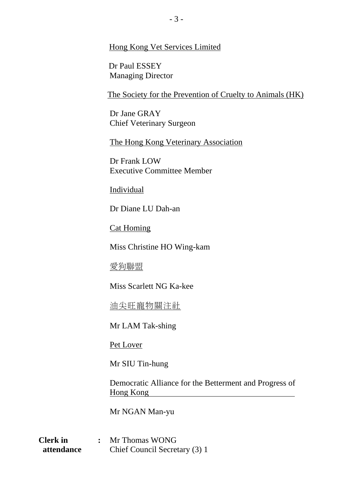#### Hong Kong Vet Services Limited

Dr Paul ESSEY Managing Director

The Society for the Prevention of Cruelty to Animals (HK)

Dr Jane GRAY Chief Veterinary Surgeon

The Hong Kong Veterinary Association

Dr Frank LOW Executive Committee Member

Individual

Dr Diane LU Dah-an

Cat Homing

Miss Christine HO Wing-kam

愛狗聯盟

Miss Scarlett NG Ka-kee

油尖旺寵物關注社

Mr LAM Tak-shing

Pet Lover

Mr SIU Tin-hung

Democratic Alliance for the Betterment and Progress of Hong Kong

Mr NGAN Man-yu

**Clerk in :** Mr Thomas WONG **attendance** Chief Council Secretary (3) 1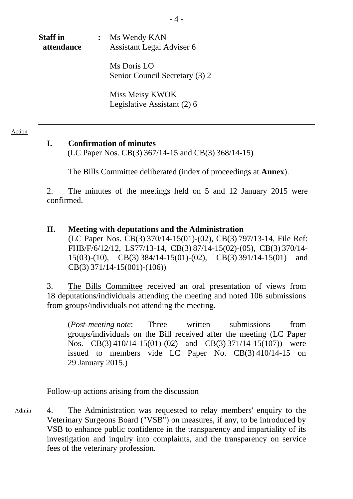# **Staff in :** Ms Wendy KAN **attendance** Assistant Legal Adviser 6

Ms Doris LO Senior Council Secretary (3) 2

 Miss Meisy KWOK Legislative Assistant (2) 6

#### Action

# **I. Confirmation of minutes**

(LC Paper Nos. CB(3) 367/14-15 and CB(3) 368/14-15)

1. The Bills Committee deliberated (index of proceedings at **Annex**).

2. The minutes of the meetings held on 5 and 12 January 2015 were confirmed.

# **II. Meeting with deputations and the Administration**  (LC Paper Nos. CB(3) 370/14-15(01)-(02), CB(3) 797/13-14, File Ref: FHB/F/6/12/12, LS77/13-14, CB(3) 87/14-15(02)-(05), CB(3) 370/14- 15(03)-(10), CB(3) 384/14-15(01)-(02), CB(3) 391/14-15(01) and CB(3) 371/14-15(001)-(106))

3. The Bills Committee received an oral presentation of views from 18 deputations/individuals attending the meeting and noted 106 submissions from groups/individuals not attending the meeting.

(*Post-meeting note*: Three written submissions from groups/individuals on the Bill received after the meeting (LC Paper Nos. CB(3) 410/14-15(01)-(02) and CB(3) 371/14-15(107)) were issued to members vide LC Paper No. CB(3) 410/14-15 on 29 January 2015.)

# Follow-up actions arising from the discussion

4. The Administration was requested to relay members' enquiry to the Veterinary Surgeons Board ("VSB") on measures, if any, to be introduced by VSB to enhance public confidence in the transparency and impartiality of its investigation and inquiry into complaints, and the transparency on service fees of the veterinary profession. Admin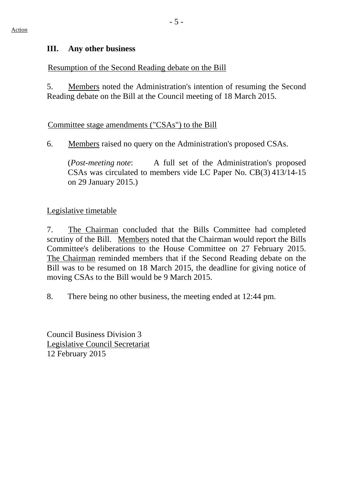#### **III. Any other business**

## Resumption of the Second Reading debate on the Bill

5. Members noted the Administration's intention of resuming the Second Reading debate on the Bill at the Council meeting of 18 March 2015.

#### Committee stage amendments ("CSAs") to the Bill

6. Members raised no query on the Administration's proposed CSAs.

(*Post-meeting note*: A full set of the Administration's proposed CSAs was circulated to members vide LC Paper No. CB(3) 413/14-15 on 29 January 2015.)

# Legislative timetable

7. The Chairman concluded that the Bills Committee had completed scrutiny of the Bill. Members noted that the Chairman would report the Bills Committee's deliberations to the House Committee on 27 February 2015. The Chairman reminded members that if the Second Reading debate on the Bill was to be resumed on 18 March 2015, the deadline for giving notice of moving CSAs to the Bill would be 9 March 2015.

8. There being no other business, the meeting ended at 12:44 pm.

Council Business Division 3 Legislative Council Secretariat 12 February 2015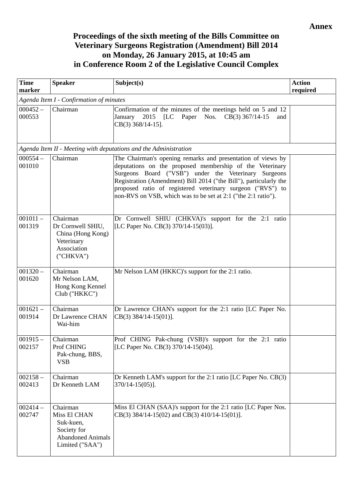# **Proceedings of the sixth meeting of the Bills Committee on Veterinary Surgeons Registration (Amendment) Bill 2014 on Monday, 26 January 2015, at 10:45 am in Conference Room 2 of the Legislative Council Complex**

| <b>Time</b><br>marker | <b>Speaker</b>                                                                                      | Subject(s)                                                                                                                                                                                                                                                                                                                                                                          | <b>Action</b><br>required |
|-----------------------|-----------------------------------------------------------------------------------------------------|-------------------------------------------------------------------------------------------------------------------------------------------------------------------------------------------------------------------------------------------------------------------------------------------------------------------------------------------------------------------------------------|---------------------------|
|                       | Agenda Item I - Confirmation of minutes                                                             |                                                                                                                                                                                                                                                                                                                                                                                     |                           |
| $000452 -$<br>000553  | Chairman                                                                                            | Confirmation of the minutes of the meetings held on 5 and 12<br>January 2015 [LC<br>Paper Nos. CB(3) 367/14-15<br>and<br>CB(3) 368/14-15].                                                                                                                                                                                                                                          |                           |
|                       |                                                                                                     | Agenda Item II - Meeting with deputations and the Administration                                                                                                                                                                                                                                                                                                                    |                           |
| $000554 -$<br>001010  | Chairman                                                                                            | The Chairman's opening remarks and presentation of views by<br>deputations on the proposed membership of the Veterinary<br>Surgeons Board ("VSB") under the Veterinary Surgeons<br>Registration (Amendment) Bill 2014 ("the Bill"), particularly the<br>proposed ratio of registered veterinary surgeon ("RVS") to<br>non-RVS on VSB, which was to be set at 2:1 ("the 2:1 ratio"). |                           |
| $001011 -$<br>001319  | Chairman<br>Dr Cornwell SHIU,<br>China (Hong Kong)<br>Veterinary<br>Association<br>("CHKVA")        | Dr Cornwell SHIU (CHKVA)'s support for the 2:1 ratio<br>[LC Paper No. CB(3) 370/14-15(03)].                                                                                                                                                                                                                                                                                         |                           |
| $001320 -$<br>001620  | Chairman<br>Mr Nelson LAM,<br>Hong Kong Kennel<br>Club ("HKKC")                                     | Mr Nelson LAM (HKKC)'s support for the 2:1 ratio.                                                                                                                                                                                                                                                                                                                                   |                           |
| $001621 -$<br>001914  | Chairman<br>Dr Lawrence CHAN<br>Wai-him                                                             | Dr Lawrence CHAN's support for the 2:1 ratio [LC Paper No.<br>$CB(3)$ 384/14-15(01)].                                                                                                                                                                                                                                                                                               |                           |
| $001915 -$<br>002157  | Chairman<br>Prof CHING<br>Pak-chung, BBS,<br><b>VSB</b>                                             | Prof CHING Pak-chung (VSB)'s support for the 2:1 ratio<br>[LC Paper No. CB(3) 370/14-15(04)].                                                                                                                                                                                                                                                                                       |                           |
| $002158 -$<br>002413  | Chairman<br>Dr Kenneth LAM                                                                          | Dr Kenneth LAM's support for the 2:1 ratio [LC Paper No. CB(3)<br>$370/14 - 15(05)$ ].                                                                                                                                                                                                                                                                                              |                           |
| $002414-$<br>002747   | Chairman<br>Miss El CHAN<br>Suk-kuen,<br>Society for<br><b>Abandoned Animals</b><br>Limited ("SAA") | Miss El CHAN (SAA)'s support for the 2:1 ratio [LC Paper Nos.<br>$CB(3)$ 384/14-15(02) and $CB(3)$ 410/14-15(01)].                                                                                                                                                                                                                                                                  |                           |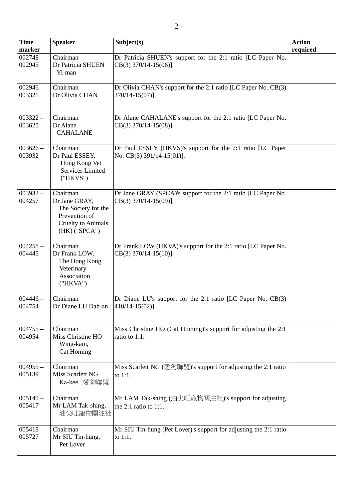| <b>Time</b>          | <b>Speaker</b>                                                                                                    | Subject(s)                                                                                 | <b>Action</b> |
|----------------------|-------------------------------------------------------------------------------------------------------------------|--------------------------------------------------------------------------------------------|---------------|
| marker               |                                                                                                                   |                                                                                            | required      |
| $002748 -$<br>002945 | Chairman<br>Dr Patricia SHUEN<br>Yi-man                                                                           | Dr Patricia SHUEN's support for the 2:1 ratio [LC Paper No.<br>$CB(3)$ 370/14-15(06)].     |               |
| $002946 -$<br>003321 | Chairman<br>Dr Olivia CHAN                                                                                        | Dr Olivia CHAN's support for the 2:1 ratio [LC Paper No. CB(3)<br>$370/14 - 15(07)$ ].     |               |
| $003322 -$<br>003625 | Chairman<br>Dr Alane<br><b>CAHALANE</b>                                                                           | Dr Alane CAHALANE's support for the 2:1 ratio [LC Paper No.<br>$CB(3)$ 370/14-15(08)].     |               |
| $003626 -$<br>003932 | Chairman<br>Dr Paul ESSEY,<br>Hong Kong Vet<br>Services Limited<br>("HKVS")                                       | Dr Paul ESSEY (HKVS)'s support for the 2:1 ratio [LC Paper<br>No. CB(3) $391/14-15(01)$ ]. |               |
| $003933 -$<br>004257 | Chairman<br>Dr Jane GRAY,<br>The Society for the<br>Prevention of<br><b>Cruelty to Animals</b><br>$(HK)$ ("SPCA") | Dr Jane GRAY (SPCA)'s support for the 2:1 ratio [LC Paper No.<br>$CB(3)$ 370/14-15(09)].   |               |
| $004258 -$<br>004445 | Chairman<br>Dr Frank LOW,<br>The Hong Kong<br>Veterinary<br>Association<br>("HKVA")                               | Dr Frank LOW (HKVA)'s support for the 2:1 ratio [LC Paper No.<br>$CB(3)$ 370/14-15(10)].   |               |
| $004446 -$<br>004754 | Chairman<br>Dr Diane LU Dah-an                                                                                    | Dr Diane LU's support for the 2:1 ratio [LC Paper No. CB(3)<br>$[410/14 - 15(02)].$        |               |
| $004755 -$<br>004954 | Chairman<br>Miss Christine HO<br>Wing-kam,<br>Cat Homing                                                          | Miss Christine HO (Cat Homing)'s support for adjusting the 2:1<br>ratio to 1:1.            |               |
| $004955 -$<br>005139 | Chairman<br>Miss Scarlett NG<br>Ka-kee, 愛狗聯盟                                                                      | Miss Scarlett NG (愛狗聯盟)'s support for adjusting the 2:1 ratio<br>to 1:1.                   |               |
| $005140 -$<br>005417 | Chairman<br>Mr LAM Tak-shing,<br>油尖旺寵物關注社                                                                         | Mr LAM Tak-shing (油尖旺寵物關注社)'s support for adjusting<br>the $2:1$ ratio to $1:1$ .          |               |
| $005418 -$<br>005727 | Chairman<br>Mr SIU Tin-hung,<br>Pet Lover                                                                         | Mr SIU Tin-hung (Pet Lover)'s support for adjusting the 2:1 ratio<br>to 1:1.               |               |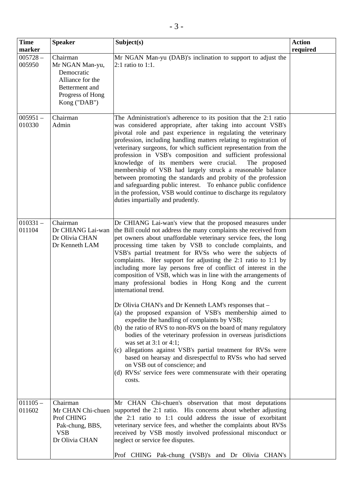| <b>Time</b>          | <b>Speaker</b>                                                                                                      | Subject(s)                                                                                                                                                                                                                                                                                                                                                                                                                                                                                                                                                                                                                                                                                                                                                                      | <b>Action</b> |
|----------------------|---------------------------------------------------------------------------------------------------------------------|---------------------------------------------------------------------------------------------------------------------------------------------------------------------------------------------------------------------------------------------------------------------------------------------------------------------------------------------------------------------------------------------------------------------------------------------------------------------------------------------------------------------------------------------------------------------------------------------------------------------------------------------------------------------------------------------------------------------------------------------------------------------------------|---------------|
| marker               |                                                                                                                     |                                                                                                                                                                                                                                                                                                                                                                                                                                                                                                                                                                                                                                                                                                                                                                                 | required      |
| $005728 -$<br>005950 | Chairman<br>Mr NGAN Man-yu,<br>Democratic<br>Alliance for the<br>Betterment and<br>Progress of Hong<br>Kong ("DAB") | Mr NGAN Man-yu (DAB)'s inclination to support to adjust the<br>2:1 ratio to 1:1.                                                                                                                                                                                                                                                                                                                                                                                                                                                                                                                                                                                                                                                                                                |               |
| $005951 -$<br>010330 | Chairman<br>Admin                                                                                                   | The Administration's adherence to its position that the 2:1 ratio<br>was considered appropriate, after taking into account VSB's<br>pivotal role and past experience in regulating the veterinary<br>profession, including handling matters relating to registration of<br>veterinary surgeons, for which sufficient representation from the<br>profession in VSB's composition and sufficient professional<br>knowledge of its members were crucial.<br>The proposed<br>membership of VSB had largely struck a reasonable balance<br>between promoting the standards and probity of the profession<br>and safeguarding public interest. To enhance public confidence<br>in the profession, VSB would continue to discharge its regulatory<br>duties impartially and prudently. |               |
| $010331 -$<br>011104 | Chairman<br>Dr CHIANG Lai-wan<br>Dr Olivia CHAN<br>Dr Kenneth LAM                                                   | Dr CHIANG Lai-wan's view that the proposed measures under<br>the Bill could not address the many complaints she received from<br>pet owners about unaffordable veterinary service fees, the long<br>processing time taken by VSB to conclude complaints, and<br>VSB's partial treatment for RVSs who were the subjects of<br>complaints. Her support for adjusting the 2:1 ratio to 1:1 by<br>including more lay persons free of conflict of interest in the<br>composition of VSB, which was in line with the arrangements of<br>many professional bodies in Hong Kong and the current<br>international trend.<br>Dr Olivia CHAN's and Dr Kenneth LAM's responses that -                                                                                                       |               |
|                      |                                                                                                                     | (a) the proposed expansion of VSB's membership aimed to<br>expedite the handling of complaints by VSB;<br>(b) the ratio of RVS to non-RVS on the board of many regulatory<br>bodies of the veterinary profession in overseas jurisdictions<br>was set at $3:1$ or $4:1$ ;<br>(c) allegations against VSB's partial treatment for RVSs were<br>based on hearsay and disrespectful to RVSs who had served<br>on VSB out of conscience; and<br>(d) RVSs' service fees were commensurate with their operating<br>costs.                                                                                                                                                                                                                                                             |               |
| $011105 -$<br>011602 | Chairman<br>Mr CHAN Chi-chuen<br>Prof CHING<br>Pak-chung, BBS,<br><b>VSB</b><br>Dr Olivia CHAN                      | Mr CHAN Chi-chuen's observation that most deputations<br>supported the 2:1 ratio. His concerns about whether adjusting<br>the 2:1 ratio to 1:1 could address the issue of exorbitant<br>veterinary service fees, and whether the complaints about RVSs<br>received by VSB mostly involved professional misconduct or<br>neglect or service fee disputes.<br>Prof CHING Pak-chung (VSB)'s and Dr Olivia CHAN's                                                                                                                                                                                                                                                                                                                                                                   |               |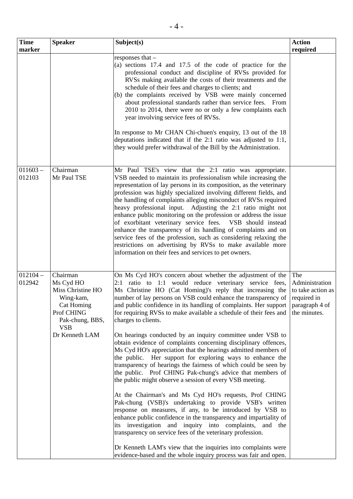| <b>Time</b>          | <b>Speaker</b>                                                                                                                         | Subject(s)                                                                                                                                                                                                                                                                                                                                                                                                                                                                                                                                                                                                                                                                                                                                                                                                                                                                                                                                                                                                                                                                                                                                                                                                                                                                                                                                                                                      | <b>Action</b>                                                                               |
|----------------------|----------------------------------------------------------------------------------------------------------------------------------------|-------------------------------------------------------------------------------------------------------------------------------------------------------------------------------------------------------------------------------------------------------------------------------------------------------------------------------------------------------------------------------------------------------------------------------------------------------------------------------------------------------------------------------------------------------------------------------------------------------------------------------------------------------------------------------------------------------------------------------------------------------------------------------------------------------------------------------------------------------------------------------------------------------------------------------------------------------------------------------------------------------------------------------------------------------------------------------------------------------------------------------------------------------------------------------------------------------------------------------------------------------------------------------------------------------------------------------------------------------------------------------------------------|---------------------------------------------------------------------------------------------|
| marker               |                                                                                                                                        |                                                                                                                                                                                                                                                                                                                                                                                                                                                                                                                                                                                                                                                                                                                                                                                                                                                                                                                                                                                                                                                                                                                                                                                                                                                                                                                                                                                                 | required                                                                                    |
|                      |                                                                                                                                        | responses that -<br>(a) sections 17.4 and 17.5 of the code of practice for the<br>professional conduct and discipline of RVSs provided for<br>RVSs making available the costs of their treatments and the<br>schedule of their fees and charges to clients; and<br>(b) the complaints received by VSB were mainly concerned<br>about professional standards rather than service fees. From<br>2010 to 2014, there were no or only a few complaints each<br>year involving service fees of RVSs.<br>In response to Mr CHAN Chi-chuen's enquiry, 13 out of the 18                                                                                                                                                                                                                                                                                                                                                                                                                                                                                                                                                                                                                                                                                                                                                                                                                                 |                                                                                             |
|                      |                                                                                                                                        | deputations indicated that if the $2:1$ ratio was adjusted to $1:1$ ,<br>they would prefer withdrawal of the Bill by the Administration.                                                                                                                                                                                                                                                                                                                                                                                                                                                                                                                                                                                                                                                                                                                                                                                                                                                                                                                                                                                                                                                                                                                                                                                                                                                        |                                                                                             |
| $011603 -$<br>012103 | Chairman<br>Mr Paul TSE                                                                                                                | Mr Paul TSE's view that the 2:1 ratio was appropriate.<br>VSB needed to maintain its professionalism while increasing the<br>representation of lay persons in its composition, as the veterinary<br>profession was highly specialized involving different fields, and<br>the handling of complaints alleging misconduct of RVSs required<br>heavy professional input. Adjusting the 2:1 ratio might not<br>enhance public monitoring on the profession or address the issue<br>of exorbitant veterinary service fees. VSB should instead<br>enhance the transparency of its handling of complaints and on<br>service fees of the profession, such as considering relaxing the<br>restrictions on advertising by RVSs to make available more<br>information on their fees and services to pet owners.                                                                                                                                                                                                                                                                                                                                                                                                                                                                                                                                                                                            |                                                                                             |
| $012104 -$<br>012942 | Chairman<br>Ms Cyd HO<br>Miss Christine HO<br>Wing-kam,<br>Cat Homing<br>Prof CHING<br>Pak-chung, BBS,<br><b>VSB</b><br>Dr Kenneth LAM | On Ms Cyd HO's concern about whether the adjustment of the<br>2:1 ratio to 1:1 would reduce veterinary service fees,<br>Ms Christine HO (Cat Homing)'s reply that increasing the<br>number of lay persons on VSB could enhance the transparency of<br>and public confidence in its handling of complaints. Her support<br>for requiring RVSs to make available a schedule of their fees and<br>charges to clients.<br>On hearings conducted by an inquiry committee under VSB to<br>obtain evidence of complaints concerning disciplinary offences,<br>Ms Cyd HO's appreciation that the hearings admitted members of<br>the public. Her support for exploring ways to enhance the<br>transparency of hearings the fairness of which could be seen by<br>the public. Prof CHING Pak-chung's advice that members of<br>the public might observe a session of every VSB meeting.<br>At the Chairman's and Ms Cyd HO's requests, Prof CHING<br>Pak-chung (VSB)'s undertaking to provide VSB's written<br>response on measures, if any, to be introduced by VSB to<br>enhance public confidence in the transparency and impartiality of<br>its investigation and inquiry into complaints, and the<br>transparency on service fees of the veterinary profession.<br>Dr Kenneth LAM's view that the inquiries into complaints were<br>evidence-based and the whole inquiry process was fair and open. | The<br>Administration<br>to take action as<br>required in<br>paragraph 4 of<br>the minutes. |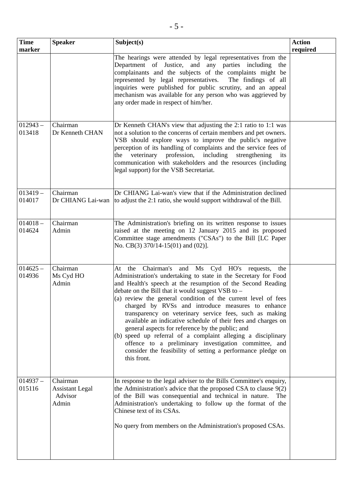| <b>Time</b><br>marker | <b>Speaker</b>                                | Subject(s)                                                                                                                                                                                                                                                                                                                                                                                                                                                                                                                                                                                                                                                                                                                                               | <b>Action</b><br>required |
|-----------------------|-----------------------------------------------|----------------------------------------------------------------------------------------------------------------------------------------------------------------------------------------------------------------------------------------------------------------------------------------------------------------------------------------------------------------------------------------------------------------------------------------------------------------------------------------------------------------------------------------------------------------------------------------------------------------------------------------------------------------------------------------------------------------------------------------------------------|---------------------------|
|                       |                                               | The hearings were attended by legal representatives from the<br>Department of Justice, and any parties including the<br>complainants and the subjects of the complaints might be<br>represented by legal representatives.<br>The findings of all<br>inquiries were published for public scrutiny, and an appeal<br>mechanism was available for any person who was aggrieved by<br>any order made in respect of him/her.                                                                                                                                                                                                                                                                                                                                  |                           |
| $012943 -$<br>013418  | Chairman<br>Dr Kenneth CHAN                   | Dr Kenneth CHAN's view that adjusting the 2:1 ratio to 1:1 was<br>not a solution to the concerns of certain members and pet owners.<br>VSB should explore ways to improve the public's negative<br>perception of its handling of complaints and the service fees of<br>veterinary profession, including<br>strengthening<br>the<br>its<br>communication with stakeholders and the resources (including<br>legal support) for the VSB Secretariat.                                                                                                                                                                                                                                                                                                        |                           |
| $013419 -$<br>014017  | Chairman<br>Dr CHIANG Lai-wan                 | Dr CHIANG Lai-wan's view that if the Administration declined<br>to adjust the 2:1 ratio, she would support withdrawal of the Bill.                                                                                                                                                                                                                                                                                                                                                                                                                                                                                                                                                                                                                       |                           |
| $014018 -$<br>014624  | Chairman<br>Admin                             | The Administration's briefing on its written response to issues<br>raised at the meeting on 12 January 2015 and its proposed<br>Committee stage amendments ("CSAs") to the Bill [LC Paper<br>No. CB(3) $370/14-15(01)$ and $(02)$ ].                                                                                                                                                                                                                                                                                                                                                                                                                                                                                                                     |                           |
| $014625 -$<br>014936  | Chairman<br>Ms Cyd HO<br>Admin                | At the Chairman's and Ms Cyd HO's requests,<br>the<br>Administration's undertaking to state in the Secretary for Food<br>and Health's speech at the resumption of the Second Reading<br>debate on the Bill that it would suggest VSB to $-$<br>(a) review the general condition of the current level of fees<br>charged by RVSs and introduce measures to enhance<br>transparency on veterinary service fees, such as making<br>available an indicative schedule of their fees and charges on<br>general aspects for reference by the public; and<br>(b) speed up referral of a complaint alleging a disciplinary<br>offence to a preliminary investigation committee, and<br>consider the feasibility of setting a performance pledge on<br>this front. |                           |
| $014937 -$<br>015116  | Chairman<br><b>Assistant Legal</b><br>Advisor | In response to the legal adviser to the Bills Committee's enquiry,<br>the Administration's advice that the proposed CSA to clause $9(2)$<br>of the Bill was consequential and technical in nature.<br>The                                                                                                                                                                                                                                                                                                                                                                                                                                                                                                                                                |                           |

Chinese text of its CSAs.

Administration's undertaking to follow up the format of the

Admin